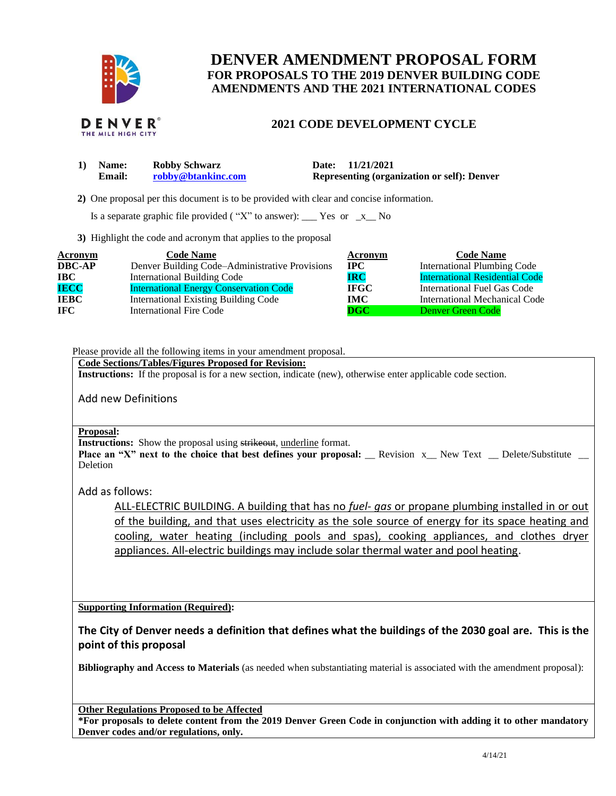

## **DENVER AMENDMENT PROPOSAL FORM FOR PROPOSALS TO THE 2019 DENVER BUILDING CODE AMENDMENTS AND THE 2021 INTERNATIONAL CODES**



## **2021 CODE DEVELOPMENT CYCLE**

| 1) Name: | <b>Robby Schwarz</b> | Date: 11/21/2021                                   |
|----------|----------------------|----------------------------------------------------|
| Email:   | robby@btankinc.com   | <b>Representing (organization or self): Denver</b> |

 **2)** One proposal per this document is to be provided with clear and concise information.

Is a separate graphic file provided ("X" to answer): \_\_\_ Yes or  $-x$  No

**3)** Highlight the code and acronym that applies to the proposal

| <b>Acronym</b> | <b>Code Name</b>                               | Acronym                   | <b>Code Name</b>                      |
|----------------|------------------------------------------------|---------------------------|---------------------------------------|
| <b>DBC-AP</b>  | Denver Building Code-Administrative Provisions | $_{\rm IPC}$              | <b>International Plumbing Code</b>    |
| <b>IBC</b>     | <b>International Building Code</b>             | <b>IRC</b>                | <b>International Residential Code</b> |
| <b>IECC</b>    | <b>International Energy Conservation Code</b>  | <b>IFGC</b>               | International Fuel Gas Code           |
| <b>IEBC</b>    | <b>International Existing Building Code</b>    | IMC-                      | International Mechanical Code         |
| <b>IFC</b>     | International Fire Code                        | $\overline{\mathbf{DGC}}$ | Denver Green Code                     |

Please provide all the following items in your amendment proposal.

## **Code Sections/Tables/Figures Proposed for Revision:**

**Instructions:** If the proposal is for a new section, indicate (new), otherwise enter applicable code section.

Add new Definitions

## **Proposal:**

**Instructions:** Show the proposal using strikeout, underline format.

**Place an "X" next to the choice that best defines your proposal:** Revision x New Text Delete/Substitute Deletion

Add as follows:

ALL-ELECTRIC BUILDING. A building that has no *fuel- gas* or propane plumbing installed in or out of the building, and that uses electricity as the sole source of energy for its space heating and cooling, water heating (including pools and spas), cooking appliances, and clothes dryer appliances. All-electric buildings may include solar thermal water and pool heating.

**Supporting Information (Required):** 

**The City of Denver needs a definition that defines what the buildings of the 2030 goal are. This is the point of this proposal**

**Bibliography and Access to Materials** (as needed when substantiating material is associated with the amendment proposal):

**Other Regulations Proposed to be Affected**

**\*For proposals to delete content from the 2019 Denver Green Code in conjunction with adding it to other mandatory Denver codes and/or regulations, only.**